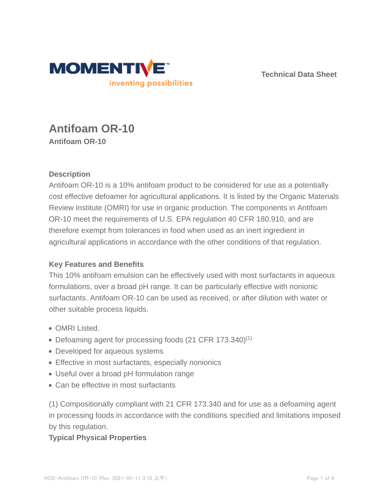

**Technical Data Sheet**

# **Antifoam OR-10 Antifoam OR-10**

## **Description**

Antifoam OR-10 is a 10% antifoam product to be considered for use as a potentially cost effective defoamer for agricultural applications. It is listed by the Organic Materials Review Institute (OMRI) for use in organic production. The components in Antifoam OR-10 meet the requirements of U.S. EPA regulation 40 CFR 180.910, and are therefore exempt from tolerances in food when used as an inert ingredient in agricultural applications in accordance with the other conditions of that regulation.

### **Key Features and Benefits**

This 10% antifoam emulsion can be effectively used with most surfactants in aqueous formulations, over a broad pH range. It can be particularly effective with nonionic surfactants. Antifoam OR-10 can be used as received, or after dilution with water or other suitable process liquids.

- OMRI Listed.
- Defoaming agent for processing foods (21 CFR 173.340)<sup>(1)</sup>
- Developed for aqueous systems
- Effective in most surfactants, especially nonionics
- Useful over a broad pH formulation range
- Can be effective in most surfactants

(1) Compositionally compliant with 21 CFR 173.340 and for use as a defoaming agent in processing foods in accordance with the conditions specified and limitations imposed by this regulation.

### **Typical Physical Properties**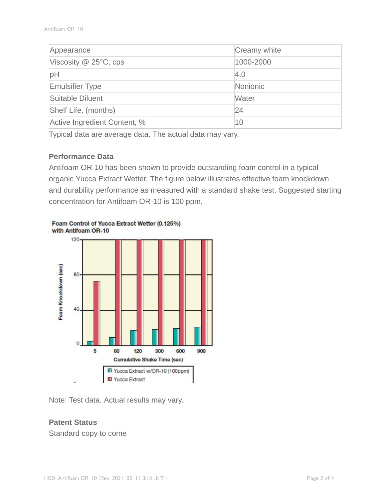| Appearance                   | Creamy white |
|------------------------------|--------------|
| Viscosity $@$ 25 $°C$ , cps  | 1000-2000    |
| pH                           | 4.0          |
| <b>Emulsifier Type</b>       | Nonionic     |
| Suitable Diluent             | Water        |
| Shelf Life, (months)         | 24           |
| Active Ingredient Content, % | 10           |

Typical data are average data. The actual data may vary.

#### **Performance Data**

Antifoam OR-10 has been shown to provide outstanding foam control in a typical organic Yucca Extract Wetter. The figure below illustrates effective foam knockdown and durability performance as measured with a standard shake test. Suggested starting concentration for Antifoam OR-10 is 100 ppm.



Foam Control of Yucca Extract Wetter (0.125%) with Antifoam OR-10

Note: Test data. Actual results may vary.

### **Patent Status**

Standard copy to come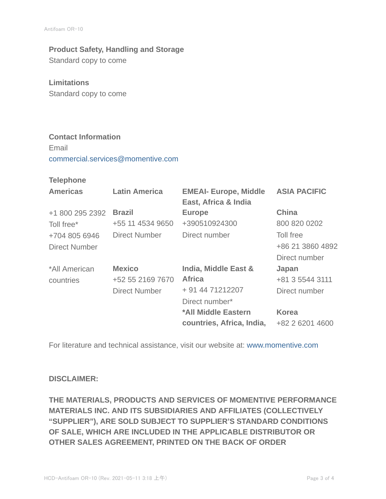# **Product Safety, Handling and Storage**

Standard copy to come

### **Limitations**

Standard copy to come

## **Contact Information**

Email commercial.services@momentive.com

#### **Telephone**

| <b>Americas</b> | <b>Latin America</b> | <b>EMEAI- Europe, Middle</b><br>East, Africa & India | <b>ASIA PACIFIC</b> |
|-----------------|----------------------|------------------------------------------------------|---------------------|
| +1 800 295 2392 | <b>Brazil</b>        | <b>Europe</b>                                        | <b>China</b>        |
| Toll free*      | +55 11 4534 9650     | +390510924300                                        | 800 820 0202        |
| +704 805 6946   | <b>Direct Number</b> | Direct number                                        | Toll free           |
| Direct Number   |                      |                                                      | +86 21 3860 4892    |
|                 |                      |                                                      | Direct number       |
| *All American   | <b>Mexico</b>        | India, Middle East &                                 | Japan               |
| countries       | +52 55 2169 7670     | <b>Africa</b>                                        | +81 3 5544 3111     |
|                 | <b>Direct Number</b> | + 91 44 71212207                                     | Direct number       |
|                 |                      | Direct number*                                       |                     |
|                 |                      | *All Middle Eastern                                  | <b>Korea</b>        |
|                 |                      | countries, Africa, India,                            | +82 2 6201 4600     |

For literature and technical assistance, visit our website at: www.momentive.com

### **DISCLAIMER:**

**THE MATERIALS, PRODUCTS AND SERVICES OF MOMENTIVE PERFORMANCE MATERIALS INC. AND ITS SUBSIDIARIES AND AFFILIATES (COLLECTIVELY "SUPPLIER"), ARE SOLD SUBJECT TO SUPPLIER'S STANDARD CONDITIONS OF SALE, WHICH ARE INCLUDED IN THE APPLICABLE DISTRIBUTOR OR OTHER SALES AGREEMENT, PRINTED ON THE BACK OF ORDER**